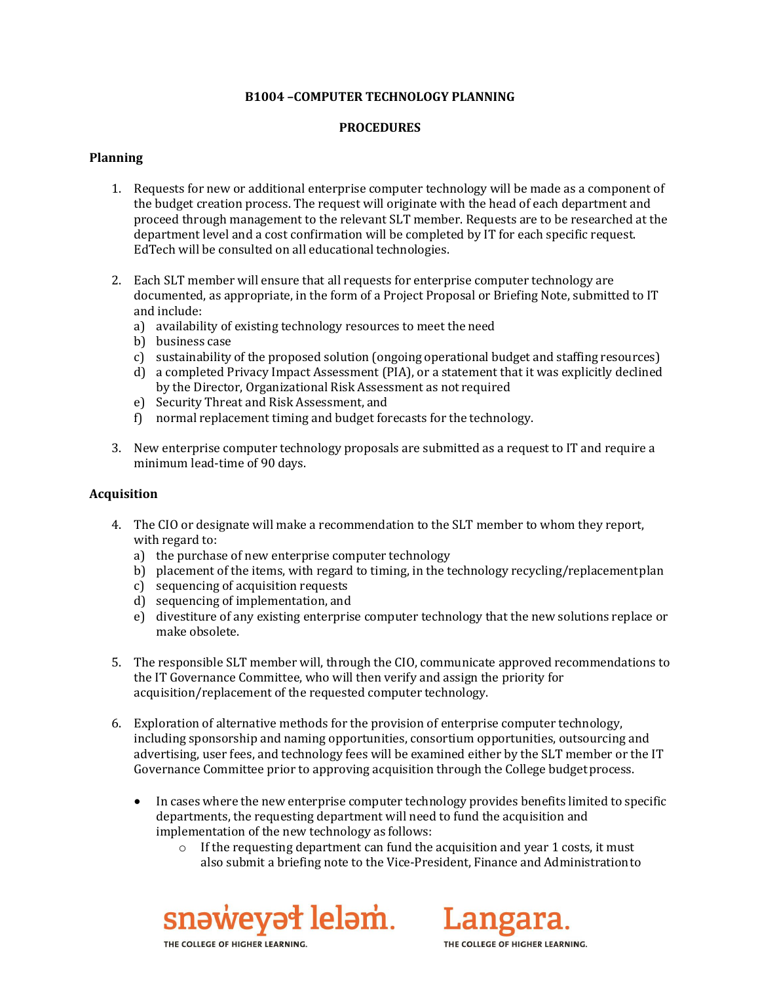## **B1004 –COMPUTER TECHNOLOGY PLANNING**

# **PROCEDURES**

## **Planning**

- 1. Requests for new or additional enterprise computer technology will be made as a component of the budget creation process. The request will originate with the head of each department and proceed through management to the relevant SLT member. Requests are to be researched at the department level and a cost confirmation will be completed by IT for each specific request. EdTech will be consulted on all educational technologies.
- 2. Each SLT member will ensure that all requests for enterprise computer technology are documented, as appropriate, in the form of a Project Proposal or Briefing Note, submitted to IT and include:
	- a) availability of existing technology resources to meet the need
	- b) business case
	- c) sustainability of the proposed solution (ongoing operational budget and staffing resources)
	- d) a completed Privacy Impact Assessment (PIA), or a statement that it was explicitly declined by the Director, Organizational Risk Assessment as not required
	- e) Security Threat and Risk Assessment, and
	- f) normal replacement timing and budget forecasts for the technology.
- 3. New enterprise computer technology proposals are submitted as a request to IT and require a minimum lead-time of 90 days.

#### **Acquisition**

- 4. The CIO or designate will make a recommendation to the SLT member to whom they report, with regard to:
	- a) the purchase of new enterprise computer technology
	- b) placement of the items, with regard to timing, in the technology recycling/replacementplan
	- c) sequencing of acquisition requests
	- d) sequencing of implementation, and
	- e) divestiture of any existing enterprise computer technology that the new solutions replace or make obsolete.
- 5. The responsible SLT member will, through the CIO, communicate approved recommendations to the IT Governance Committee, who will then verify and assign the priority for acquisition/replacement of the requested computer technology.
- 6. Exploration of alternative methods for the provision of enterprise computer technology, including sponsorship and naming opportunities, consortium opportunities, outsourcing and advertising, user fees, and technology fees will be examined either by the SLT member or the IT Governance Committee prior to approving acquisition through the College budget process.
	- In cases where the new enterprise computer technology provides benefits limited to specific departments, the requesting department will need to fund the acquisition and implementation of the new technology as follows:
		- o If the requesting department can fund the acquisition and year 1 costs, it must also submit a briefing note to the Vice-President, Finance and Administrationto